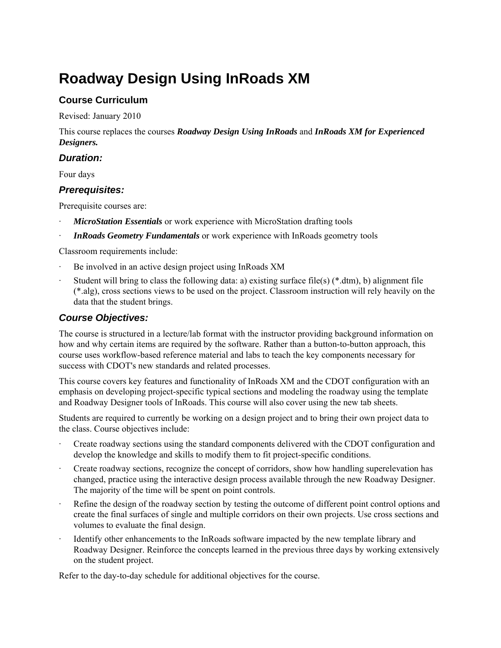# **Roadway Design Using InRoads XM**

## **Course Curriculum**

Revised: January 2010

This course replaces the courses *Roadway Design Using InRoads* and *InRoads XM for Experienced Designers.* 

## *Duration:*

Four days

### *Prerequisites:*

Prerequisite courses are:

- *MicroStation Essentials* or work experience with MicroStation drafting tools
- **InRoads Geometry Fundamentals** or work experience with InRoads geometry tools

Classroom requirements include:

- Be involved in an active design project using InRoads XM
- Student will bring to class the following data: a) existing surface file(s)  $(*.dm)$ , b) alignment file (\*.alg), cross sections views to be used on the project. Classroom instruction will rely heavily on the data that the student brings.

## *Course Objectives:*

The course is structured in a lecture/lab format with the instructor providing background information on how and why certain items are required by the software. Rather than a button-to-button approach, this course uses workflow-based reference material and labs to teach the key components necessary for success with CDOT's new standards and related processes.

This course covers key features and functionality of InRoads XM and the CDOT configuration with an emphasis on developing project-specific typical sections and modeling the roadway using the template and Roadway Designer tools of InRoads. This course will also cover using the new tab sheets.

Students are required to currently be working on a design project and to bring their own project data to the class. Course objectives include:

- · Create roadway sections using the standard components delivered with the CDOT configuration and develop the knowledge and skills to modify them to fit project-specific conditions.
- · Create roadway sections, recognize the concept of corridors, show how handling superelevation has changed, practice using the interactive design process available through the new Roadway Designer. The majority of the time will be spent on point controls.
- Refine the design of the roadway section by testing the outcome of different point control options and create the final surfaces of single and multiple corridors on their own projects. Use cross sections and volumes to evaluate the final design.
- Identify other enhancements to the InRoads software impacted by the new template library and Roadway Designer. Reinforce the concepts learned in the previous three days by working extensively on the student project.

Refer to the day-to-day schedule for additional objectives for the course.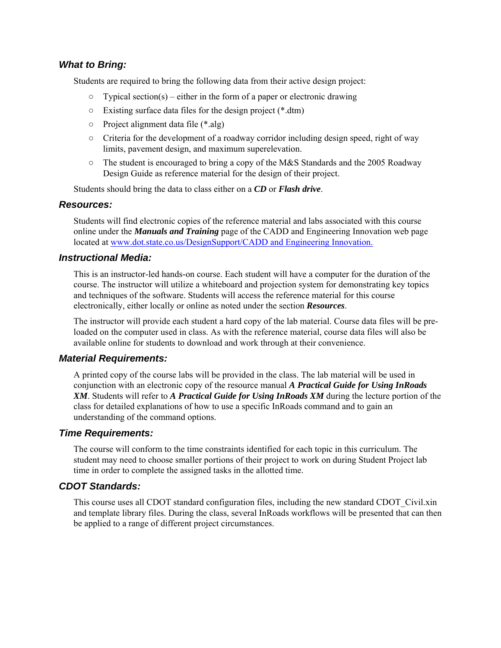#### *What to Bring:*

Students are required to bring the following data from their active design project:

- $\circ$  Typical section(s) either in the form of a paper or electronic drawing
- Existing surface data files for the design project (\*.dtm)
- Project alignment data file (\*.alg)
- $\circ$  Criteria for the development of a roadway corridor including design speed, right of way limits, pavement design, and maximum superelevation.
- $\circ$  The student is encouraged to bring a copy of the M&S Standards and the 2005 Roadway Design Guide as reference material for the design of their project.

Students should bring the data to class either on a *CD* or *Flash drive*.

#### *Resources:*

Students will find electronic copies of the reference material and labs associated with this course online under the *Manuals and Training* page of the CADD and Engineering Innovation web page located at www.dot.state.co.us/DesignSupport/CADD and Engineering Innovation.

#### *Instructional Media:*

This is an instructor-led hands-on course. Each student will have a computer for the duration of the course. The instructor will utilize a whiteboard and projection system for demonstrating key topics and techniques of the software. Students will access the reference material for this course electronically, either locally or online as noted under the section *Resources*.

The instructor will provide each student a hard copy of the lab material. Course data files will be preloaded on the computer used in class. As with the reference material, course data files will also be available online for students to download and work through at their convenience.

#### *Material Requirements:*

A printed copy of the course labs will be provided in the class. The lab material will be used in conjunction with an electronic copy of the resource manual *A Practical Guide for Using InRoads XM*. Students will refer to *A Practical Guide for Using InRoads XM* during the lecture portion of the class for detailed explanations of how to use a specific InRoads command and to gain an understanding of the command options.

#### *Time Requirements:*

The course will conform to the time constraints identified for each topic in this curriculum. The student may need to choose smaller portions of their project to work on during Student Project lab time in order to complete the assigned tasks in the allotted time.

#### *CDOT Standards:*

This course uses all CDOT standard configuration files, including the new standard CDOT\_Civil.xin and template library files. During the class, several InRoads workflows will be presented that can then be applied to a range of different project circumstances.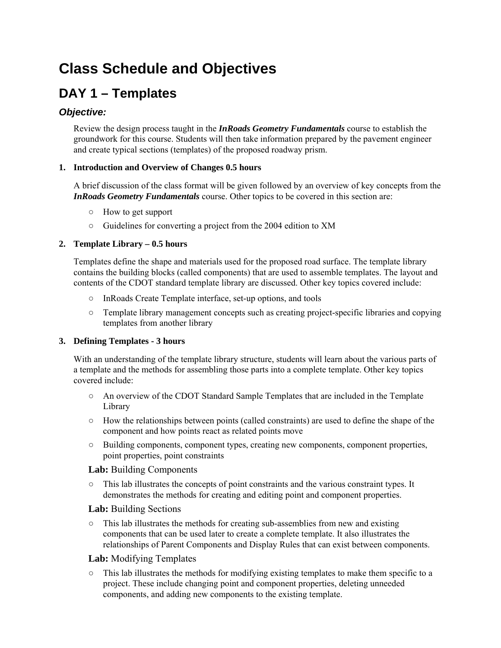## **Class Schedule and Objectives**

## **DAY 1 – Templates**

## *Objective:*

Review the design process taught in the *InRoads Geometry Fundamentals* course to establish the groundwork for this course. Students will then take information prepared by the pavement engineer and create typical sections (templates) of the proposed roadway prism.

#### **1. Introduction and Overview of Changes 0.5 hours**

A brief discussion of the class format will be given followed by an overview of key concepts from the *InRoads Geometry Fundamentals* course. Other topics to be covered in this section are:

- How to get support
- Guidelines for converting a project from the 2004 edition to XM

#### **2. Template Library – 0.5 hours**

Templates define the shape and materials used for the proposed road surface. The template library contains the building blocks (called components) that are used to assemble templates. The layout and contents of the CDOT standard template library are discussed. Other key topics covered include:

- InRoads Create Template interface, set-up options, and tools
- Template library management concepts such as creating project-specific libraries and copying templates from another library

#### **3. Defining Templates - 3 hours**

With an understanding of the template library structure, students will learn about the various parts of a template and the methods for assembling those parts into a complete template. Other key topics covered include:

- An overview of the CDOT Standard Sample Templates that are included in the Template Library
- $\circ$  How the relationships between points (called constraints) are used to define the shape of the component and how points react as related points move
- Building components, component types, creating new components, component properties, point properties, point constraints

#### **Lab:** Building Components

○ This lab illustrates the concepts of point constraints and the various constraint types. It demonstrates the methods for creating and editing point and component properties.

#### **Lab:** Building Sections

○ This lab illustrates the methods for creating sub-assemblies from new and existing components that can be used later to create a complete template. It also illustrates the relationships of Parent Components and Display Rules that can exist between components.

#### **Lab:** Modifying Templates

 $\circ$  This lab illustrates the methods for modifying existing templates to make them specific to a project. These include changing point and component properties, deleting unneeded components, and adding new components to the existing template.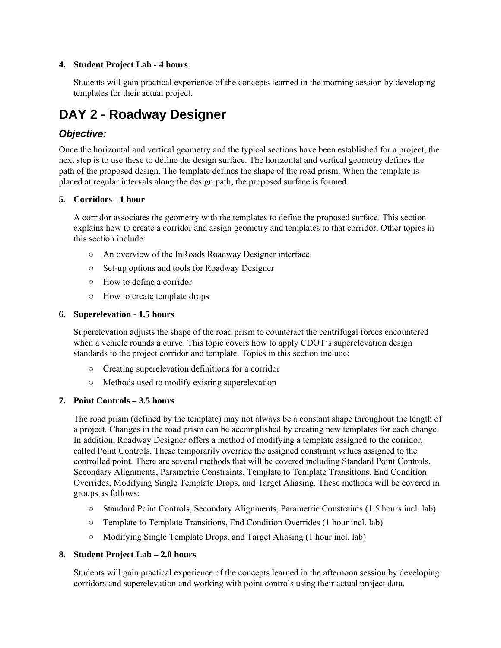#### **4. Student Project Lab - 4 hours**

Students will gain practical experience of the concepts learned in the morning session by developing templates for their actual project.

## **DAY 2 - Roadway Designer**

## *Objective:*

Once the horizontal and vertical geometry and the typical sections have been established for a project, the next step is to use these to define the design surface. The horizontal and vertical geometry defines the path of the proposed design. The template defines the shape of the road prism. When the template is placed at regular intervals along the design path, the proposed surface is formed.

#### **5. Corridors - 1 hour**

A corridor associates the geometry with the templates to define the proposed surface. This section explains how to create a corridor and assign geometry and templates to that corridor. Other topics in this section include:

- An overview of the InRoads Roadway Designer interface
- Set-up options and tools for Roadway Designer
- How to define a corridor
- How to create template drops

#### **6. Superelevation - 1.5 hours**

Superelevation adjusts the shape of the road prism to counteract the centrifugal forces encountered when a vehicle rounds a curve. This topic covers how to apply CDOT's superelevation design standards to the project corridor and template. Topics in this section include:

- Creating superelevation definitions for a corridor
- Methods used to modify existing superelevation

#### **7. Point Controls – 3.5 hours**

The road prism (defined by the template) may not always be a constant shape throughout the length of a project. Changes in the road prism can be accomplished by creating new templates for each change. In addition, Roadway Designer offers a method of modifying a template assigned to the corridor, called Point Controls. These temporarily override the assigned constraint values assigned to the controlled point. There are several methods that will be covered including Standard Point Controls, Secondary Alignments, Parametric Constraints, Template to Template Transitions, End Condition Overrides, Modifying Single Template Drops, and Target Aliasing. These methods will be covered in groups as follows:

- Standard Point Controls, Secondary Alignments, Parametric Constraints (1.5 hours incl. lab)
- Template to Template Transitions, End Condition Overrides (1 hour incl. lab)
- Modifying Single Template Drops, and Target Aliasing (1 hour incl. lab)

#### **8. Student Project Lab – 2.0 hours**

Students will gain practical experience of the concepts learned in the afternoon session by developing corridors and superelevation and working with point controls using their actual project data.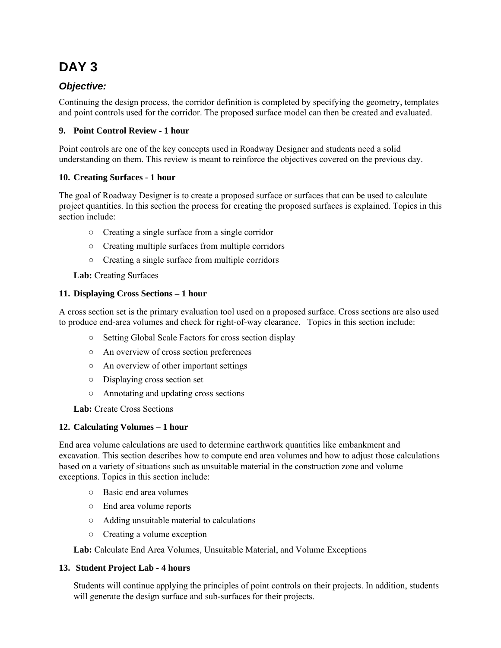## **DAY 3**

## *Objective:*

Continuing the design process, the corridor definition is completed by specifying the geometry, templates and point controls used for the corridor. The proposed surface model can then be created and evaluated.

### **9. Point Control Review - 1 hour**

Point controls are one of the key concepts used in Roadway Designer and students need a solid understanding on them. This review is meant to reinforce the objectives covered on the previous day.

### **10. Creating Surfaces - 1 hour**

The goal of Roadway Designer is to create a proposed surface or surfaces that can be used to calculate project quantities. In this section the process for creating the proposed surfaces is explained. Topics in this section include:

- Creating a single surface from a single corridor
- Creating multiple surfaces from multiple corridors
- Creating a single surface from multiple corridors

### **Lab:** Creating Surfaces

#### **11. Displaying Cross Sections – 1 hour**

A cross section set is the primary evaluation tool used on a proposed surface. Cross sections are also used to produce end-area volumes and check for right-of-way clearance. Topics in this section include:

- Setting Global Scale Factors for cross section display
- An overview of cross section preferences
- An overview of other important settings
- Displaying cross section set
- Annotating and updating cross sections

**Lab:** Create Cross Sections

#### **12. Calculating Volumes – 1 hour**

End area volume calculations are used to determine earthwork quantities like embankment and excavation. This section describes how to compute end area volumes and how to adjust those calculations based on a variety of situations such as unsuitable material in the construction zone and volume exceptions. Topics in this section include:

- Basic end area volumes
- End area volume reports
- Adding unsuitable material to calculations
- Creating a volume exception

Lab: Calculate End Area Volumes, Unsuitable Material, and Volume Exceptions

#### **13. Student Project Lab - 4 hours**

Students will continue applying the principles of point controls on their projects. In addition, students will generate the design surface and sub-surfaces for their projects.